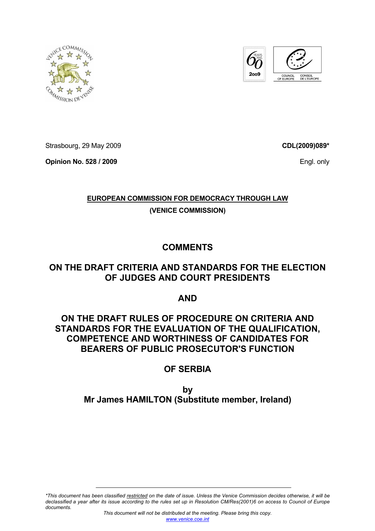



Strasbourg, 29 May 2009

**Opinion No. 528 / 2009** 

**CDL(2009)089\***

Engl. only

# **EUROPEAN COMMISSION FOR DEMOCRACY THROUGH LAW (VENICE COMMISSION)**

**COMMENTS** 

# **ON THE DRAFT CRITERIA AND STANDARDS FOR THE ELECTION OF JUDGES AND COURT PRESIDENTS**

**AND** 

# **ON THE DRAFT RULES OF PROCEDURE ON CRITERIA AND STANDARDS FOR THE EVALUATION OF THE QUALIFICATION, COMPETENCE AND WORTHINESS OF CANDIDATES FOR BEARERS OF PUBLIC PROSECUTOR'S FUNCTION**

# **OF SERBIA**

# **by Mr James HAMILTON (Substitute member, Ireland)**

*\*This document has been classified restricted on the date of issue. Unless the Venice Commission decides otherwise, it will be declassified a year after its issue according to the rules set up in Resolution CM/Res(2001)6 on access to Council of Europe documents.*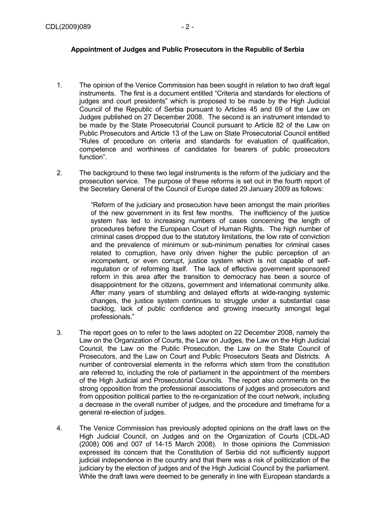## **Appointment of Judges and Public Prosecutors in the Republic of Serbia**

- 1. The opinion of the Venice Commission has been sought in relation to two draft legal instruments. The first is a document entitled "Criteria and standards for elections of judges and court presidents" which is proposed to be made by the High Judicial Council of the Republic of Serbia pursuant to Articles 45 and 69 of the Law on Judges published on 27 December 2008. The second is an instrument intended to be made by the State Prosecutorial Council pursuant to Article 82 of the Law on Public Prosecutors and Article 13 of the Law on State Prosecutorial Council entitled "Rules of procedure on criteria and standards for evaluation of qualification, competence and worthiness of candidates for bearers of public prosecutors function".
- 2. The background to these two legal instruments is the reform of the judiciary and the prosecution service. The purpose of these reforms is set out in the fourth report of the Secretary General of the Council of Europe dated 29 January 2009 as follows:

"Reform of the judiciary and prosecution have been amongst the main priorities of the new government in its first few months. The inefficiency of the justice system has led to increasing numbers of cases concerning the length of procedures before the European Court of Human Rights. The high number of criminal cases dropped due to the statutory limitations, the low rate of conviction and the prevalence of minimum or sub-minimum penalties for criminal cases related to corruption, have only driven higher the public perception of an incompetent, or even corrupt, justice system which is not capable of selfregulation or of reforming itself. The lack of effective government sponsored reform in this area after the transition to democracy has been a source of disappointment for the citizens, government and international community alike. After many years of stumbling and delayed efforts at wide-ranging systemic changes, the justice system continues to struggle under a substantial case backlog, lack of public confidence and growing insecurity amongst legal professionals."

- 3. The report goes on to refer to the laws adopted on 22 December 2008, namely the Law on the Organization of Courts, the Law on Judges, the Law on the High Judicial Council, the Law on the Public Prosecution, the Law on the State Council of Prosecutors, and the Law on Court and Public Prosecutors Seats and Districts. A number of controversial elements in the reforms which stem from the constitution are referred to, including the role of parliament in the appointment of the members of the High Judicial and Prosecutorial Councils. The report also comments on the strong opposition from the professional associations of judges and prosecutors and from opposition political parties to the re-organization of the court network, including a decrease in the overall number of judges, and the procedure and timeframe for a general re-election of judges.
- 4. The Venice Commission has previously adopted opinions on the draft laws on the High Judicial Council, on Judges and on the Organization of Courts (CDL-AD (2008) 006 and 007 of 14-15 March 2008). In those opinions the Commission expressed its concern that the Constitution of Serbia did not sufficiently support judicial independence in the country and that there was a risk of politicization of the judiciary by the election of judges and of the High Judicial Council by the parliament. While the draft laws were deemed to be generally in line with European standards a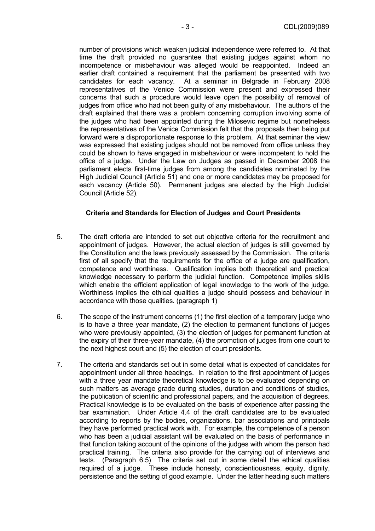number of provisions which weaken judicial independence were referred to. At that time the draft provided no guarantee that existing judges against whom no incompetence or misbehaviour was alleged would be reappointed. Indeed an earlier draft contained a requirement that the parliament be presented with two candidates for each vacancy. At a seminar in Belgrade in February 2008 representatives of the Venice Commission were present and expressed their concerns that such a procedure would leave open the possibility of removal of judges from office who had not been guilty of any misbehaviour. The authors of the draft explained that there was a problem concerning corruption involving some of the judges who had been appointed during the Milosevic regime but nonetheless the representatives of the Venice Commission felt that the proposals then being put forward were a disproportionate response to this problem. At that seminar the view was expressed that existing judges should not be removed from office unless they could be shown to have engaged in misbehaviour or were incompetent to hold the office of a judge. Under the Law on Judges as passed in December 2008 the parliament elects first-time judges from among the candidates nominated by the High Judicial Council (Article 51) and one or more candidates may be proposed for each vacancy (Article 50). Permanent judges are elected by the High Judicial Council (Article 52).

#### **Criteria and Standards for Election of Judges and Court Presidents**

- 5. The draft criteria are intended to set out objective criteria for the recruitment and appointment of judges. However, the actual election of judges is still governed by the Constitution and the laws previously assessed by the Commission. The criteria first of all specify that the requirements for the office of a judge are qualification, competence and worthiness. Qualification implies both theoretical and practical knowledge necessary to perform the judicial function. Competence implies skills which enable the efficient application of legal knowledge to the work of the judge. Worthiness implies the ethical qualities a judge should possess and behaviour in accordance with those qualities. (paragraph 1)
- 6. The scope of the instrument concerns (1) the first election of a temporary judge who is to have a three year mandate, (2) the election to permanent functions of judges who were previously appointed, (3) the election of judges for permanent function at the expiry of their three-year mandate, (4) the promotion of judges from one court to the next highest court and (5) the election of court presidents.
- 7. The criteria and standards set out in some detail what is expected of candidates for appointment under all three headings. In relation to the first appointment of judges with a three year mandate theoretical knowledge is to be evaluated depending on such matters as average grade during studies, duration and conditions of studies, the publication of scientific and professional papers, and the acquisition of degrees. Practical knowledge is to be evaluated on the basis of experience after passing the bar examination. Under Article 4.4 of the draft candidates are to be evaluated according to reports by the bodies, organizations, bar associations and principals they have performed practical work with. For example, the competence of a person who has been a judicial assistant will be evaluated on the basis of performance in that function taking account of the opinions of the judges with whom the person had practical training. The criteria also provide for the carrying out of interviews and tests. (Paragraph 6.5) The criteria set out in some detail the ethical qualities required of a judge. These include honesty, conscientiousness, equity, dignity, persistence and the setting of good example. Under the latter heading such matters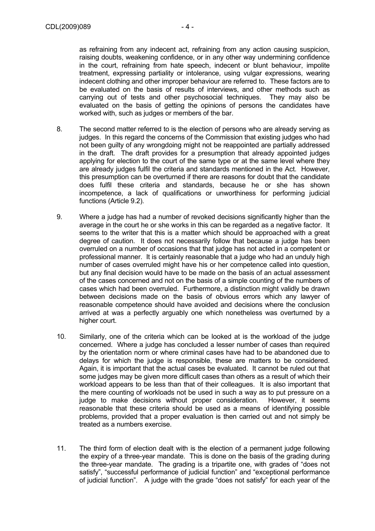as refraining from any indecent act, refraining from any action causing suspicion, raising doubts, weakening confidence, or in any other way undermining confidence in the court, refraining from hate speech, indecent or blunt behaviour, impolite treatment, expressing partiality or intolerance, using vulgar expressions, wearing indecent clothing and other improper behaviour are referred to. These factors are to be evaluated on the basis of results of interviews, and other methods such as carrying out of tests and other psychosocial techniques. They may also be evaluated on the basis of getting the opinions of persons the candidates have worked with, such as judges or members of the bar.

- 8. The second matter referred to is the election of persons who are already serving as judges. In this regard the concerns of the Commission that existing judges who had not been guilty of any wrongdoing might not be reappointed are partially addressed in the draft. The draft provides for a presumption that already appointed judges applying for election to the court of the same type or at the same level where they are already judges fulfil the criteria and standards mentioned in the Act. However, this presumption can be overturned if there are reasons for doubt that the candidate does fulfil these criteria and standards, because he or she has shown incompetence, a lack of qualifications or unworthiness for performing judicial functions (Article 9.2).
- 9. Where a judge has had a number of revoked decisions significantly higher than the average in the court he or she works in this can be regarded as a negative factor. It seems to the writer that this is a matter which should be approached with a great degree of caution. It does not necessarily follow that because a judge has been overruled on a number of occasions that that judge has not acted in a competent or professional manner. It is certainly reasonable that a judge who had an unduly high number of cases overruled might have his or her competence called into question, but any final decision would have to be made on the basis of an actual assessment of the cases concerned and not on the basis of a simple counting of the numbers of cases which had been overruled. Furthermore, a distinction might validly be drawn between decisions made on the basis of obvious errors which any lawyer of reasonable competence should have avoided and decisions where the conclusion arrived at was a perfectly arguably one which nonetheless was overturned by a higher court.
- 10. Similarly, one of the criteria which can be looked at is the workload of the judge concerned. Where a judge has concluded a lesser number of cases than required by the orientation norm or where criminal cases have had to be abandoned due to delays for which the judge is responsible, these are matters to be considered. Again, it is important that the actual cases be evaluated. It cannot be ruled out that some judges may be given more difficult cases than others as a result of which their workload appears to be less than that of their colleagues. It is also important that the mere counting of workloads not be used in such a way as to put pressure on a judge to make decisions without proper consideration. However, it seems reasonable that these criteria should be used as a means of identifying possible problems, provided that a proper evaluation is then carried out and not simply be treated as a numbers exercise.
- 11. The third form of election dealt with is the election of a permanent judge following the expiry of a three-year mandate. This is done on the basis of the grading during the three-year mandate. The grading is a tripartite one, with grades of "does not satisfy", "successful performance of judicial function" and "exceptional performance of judicial function". A judge with the grade "does not satisfy" for each year of the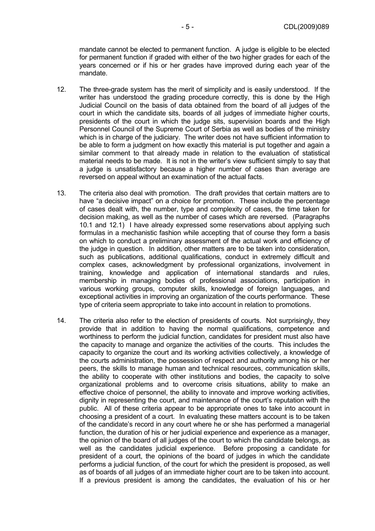mandate cannot be elected to permanent function. A judge is eligible to be elected for permanent function if graded with either of the two higher grades for each of the years concerned or if his or her grades have improved during each year of the mandate.

- 12. The three-grade system has the merit of simplicity and is easily understood. If the writer has understood the grading procedure correctly, this is done by the High Judicial Council on the basis of data obtained from the board of all judges of the court in which the candidate sits, boards of all judges of immediate higher courts, presidents of the court in which the judge sits, supervision boards and the High Personnel Council of the Supreme Court of Serbia as well as bodies of the ministry which is in charge of the judiciary. The writer does not have sufficient information to be able to form a judgment on how exactly this material is put together and again a similar comment to that already made in relation to the evaluation of statistical material needs to be made. It is not in the writer's view sufficient simply to say that a judge is unsatisfactory because a higher number of cases than average are reversed on appeal without an examination of the actual facts.
- 13. The criteria also deal with promotion. The draft provides that certain matters are to have "a decisive impact" on a choice for promotion. These include the percentage of cases dealt with, the number, type and complexity of cases, the time taken for decision making, as well as the number of cases which are reversed. (Paragraphs 10.1 and 12.1) I have already expressed some reservations about applying such formulas in a mechanistic fashion while accepting that of course they form a basis on which to conduct a preliminary assessment of the actual work and efficiency of the judge in question. In addition, other matters are to be taken into consideration, such as publications, additional qualifications, conduct in extremely difficult and complex cases, acknowledgment by professional organizations, involvement in training, knowledge and application of international standards and rules, membership in managing bodies of professional associations, participation in various working groups, computer skills, knowledge of foreign languages, and exceptional activities in improving an organization of the courts performance. These type of criteria seem appropriate to take into account in relation to promotions.
- 14. The criteria also refer to the election of presidents of courts. Not surprisingly, they provide that in addition to having the normal qualifications, competence and worthiness to perform the judicial function, candidates for president must also have the capacity to manage and organize the activities of the courts. This includes the capacity to organize the court and its working activities collectively, a knowledge of the courts administration, the possession of respect and authority among his or her peers, the skills to manage human and technical resources, communication skills, the ability to cooperate with other institutions and bodies, the capacity to solve organizational problems and to overcome crisis situations, ability to make an effective choice of personnel, the ability to innovate and improve working activities, dignity in representing the court, and maintenance of the court's reputation with the public. All of these criteria appear to be appropriate ones to take into account in choosing a president of a court. In evaluating these matters account is to be taken of the candidate's record in any court where he or she has performed a managerial function, the duration of his or her judicial experience and experience as a manager, the opinion of the board of all judges of the court to which the candidate belongs, as well as the candidates judicial experience. Before proposing a candidate for president of a court, the opinions of the board of judges in which the candidate performs a judicial function, of the court for which the president is proposed, as well as of boards of all judges of an immediate higher court are to be taken into account. If a previous president is among the candidates, the evaluation of his or her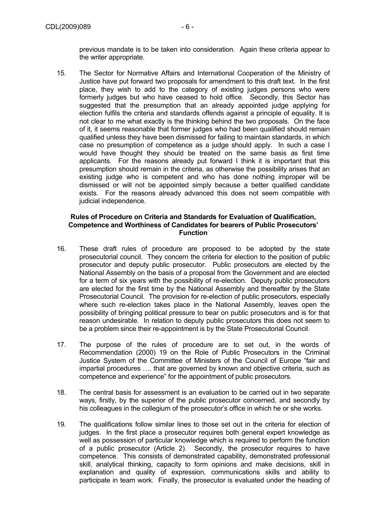previous mandate is to be taken into consideration. Again these criteria appear to the writer appropriate.

15. The Sector for Normative Affairs and International Cooperation of the Ministry of Justice have put forward two proposals for amendment to this draft text. In the first place, they wish to add to the category of existing judges persons who were formerly judges but who have ceased to hold office. Secondly, this Sector has suggested that the presumption that an already appointed judge applying for election fulfils the criteria and standards offends against a principle of equality. It is not clear to me what exactly is the thinking behind the two proposals. On the face of it, it seems reasonable that former judges who had been qualified should remain qualified unless they have been dismissed for failing to maintain standards, in which case no presumption of competence as a judge should apply. In such a case I would have thought they should be treated on the same basis as first time applicants. For the reasons already put forward I think it is important that this presumption should remain in the criteria, as otherwise the possibility arises that an existing judge who is competent and who has done nothing improper will be dismissed or will not be appointed simply because a better qualified candidate exists. For the reasons already advanced this does not seem compatible with judicial independence.

### **Rules of Procedure on Criteria and Standards for Evaluation of Qualification, Competence and Worthiness of Candidates for bearers of Public Prosecutors' Function**

- 16. These draft rules of procedure are proposed to be adopted by the state prosecutorial council. They concern the criteria for election to the position of public prosecutor and deputy public prosecutor. Public prosecutors are elected by the National Assembly on the basis of a proposal from the Government and are elected for a term of six years with the possibility of re-election. Deputy public prosecutors are elected for the first time by the National Assembly and thereafter by the State Prosecutorial Council. The provision for re-election of public prosecutors, especially where such re-election takes place in the National Assembly, leaves open the possibility of bringing political pressure to bear on public prosecutors and is for that reason undesirable. In relation to deputy public prosecutors this does not seem to be a problem since their re-appointment is by the State Prosecutorial Council.
- 17. The purpose of the rules of procedure are to set out, in the words of Recommendation (2000) 19 on the Role of Public Prosecutors in the Criminal Justice System of the Committee of Ministers of the Council of Europe "fair and impartial procedures …. that are governed by known and objective criteria, such as competence and experience" for the appointment of public prosecutors.
- 18. The central basis for assessment is an evaluation to be carried out in two separate ways, firstly, by the superior of the public prosecutor concerned, and secondly by his colleagues in the collegium of the prosecutor's office in which he or she works.
- 19. The qualifications follow similar lines to those set out in the criteria for election of judges. In the first place a prosecutor requires both general expert knowledge as well as possession of particular knowledge which is required to perform the function of a public prosecutor (Article 2). Secondly, the prosecutor requires to have competence. This consists of demonstrated capability, demonstrated professional skill, analytical thinking, capacity to form opinions and make decisions, skill in explanation and quality of expression, communications skills and ability to participate in team work. Finally, the prosecutor is evaluated under the heading of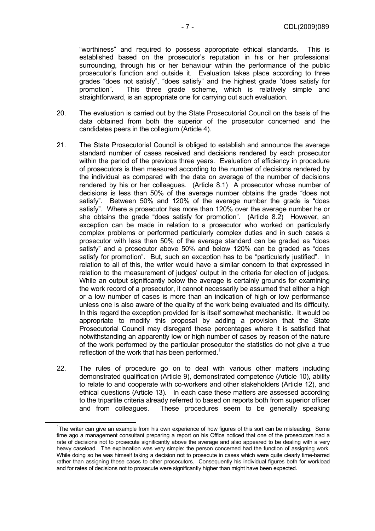"worthiness" and required to possess appropriate ethical standards. This is established based on the prosecutor's reputation in his or her professional surrounding, through his or her behaviour within the performance of the public prosecutor's function and outside it. Evaluation takes place according to three grades "does not satisfy", "does satisfy" and the highest grade "does satisfy for promotion". This three grade scheme, which is relatively simple and straightforward, is an appropriate one for carrying out such evaluation.

- 20. The evaluation is carried out by the State Prosecutorial Council on the basis of the data obtained from both the superior of the prosecutor concerned and the candidates peers in the collegium (Article 4).
- 21. The State Prosecutorial Council is obliged to establish and announce the average standard number of cases received and decisions rendered by each prosecutor within the period of the previous three years. Evaluation of efficiency in procedure of prosecutors is then measured according to the number of decisions rendered by the individual as compared with the data on average of the number of decisions rendered by his or her colleagues. (Article 8.1) A prosecutor whose number of decisions is less than 50% of the average number obtains the grade "does not satisfy". Between 50% and 120% of the average number the grade is "does satisfy". Where a prosecutor has more than 120% over the average number he or she obtains the grade "does satisfy for promotion". (Article 8.2) However, an exception can be made in relation to a prosecutor who worked on particularly complex problems or performed particularly complex duties and in such cases a prosecutor with less than 50% of the average standard can be graded as "does satisfy" and a prosecutor above 50% and below 120% can be graded as "does satisfy for promotion". But, such an exception has to be "particularly justified". In relation to all of this, the writer would have a similar concern to that expressed in relation to the measurement of judges' output in the criteria for election of judges. While an output significantly below the average is certainly grounds for examining the work record of a prosecutor, it cannot necessarily be assumed that either a high or a low number of cases is more than an indication of high or low performance unless one is also aware of the quality of the work being evaluated and its difficulty. In this regard the exception provided for is itself somewhat mechanistic. It would be appropriate to modify this proposal by adding a provision that the State Prosecutorial Council may disregard these percentages where it is satisfied that notwithstanding an apparently low or high number of cases by reason of the nature of the work performed by the particular prosecutor the statistics do not give a true reflection of the work that has been performed.<sup>1</sup>
- 22. The rules of procedure go on to deal with various other matters including demonstrated qualification (Article 9), demonstrated competence (Article 10), ability to relate to and cooperate with co-workers and other stakeholders (Article 12), and ethical questions (Article 13). In each case these matters are assessed according to the tripartite criteria already referred to based on reports both from superior officer and from colleagues. These procedures seem to be generally speaking

 $\overline{\phantom{0}}$  1  $T$ The writer can give an example from his own experience of how figures of this sort can be misleading. Some time ago a management consultant preparing a report on his Office noticed that one of the prosecutors had a rate of decisions not to prosecute significantly above the average and also appeared to be dealing with a very heavy caseload. The explanation was very simple: the person concerned had the function of assigning work. While doing so he was himself taking a decision not to prosecute in cases which were quite clearly time-barred rather than assigning these cases to other prosecutors. Consequently his individual figures both for workload and for rates of decisions not to prosecute were significantly higher than might have been expected.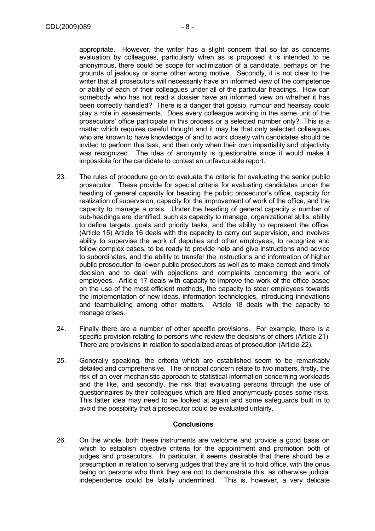evaluation by colleagues, particularly when as is proposed it is intended to be anonymous, there could be scope for victimization of a candidate, perhaps on the grounds of jealousy or some other wrong motive. Secondly, it is not clear to the writer that all prosecutors will necessarily have an informed view of the competence or ability of each of their colleagues under all of the particular headings. How can somebody who has not read a dossier have an informed view on whether it has been correctly handled? There is a danger that gossip, rumour and hearsay could play a role in assessments. Does every colleague working in the same unit of the prosecutors' office participate in this process or a selected number only? This is a matter which requires careful thought and it may be that only selected colleagues who are known to have knowledge of and to work closely with candidates should be invited to perform this task, and then only when their own impartiality and objectivity was recognized. The idea of anonymity is questionable since it would make it impossible for the candidate to contest an unfavourable report.

- 23. The rules of procedure go on to evaluate the criteria for evaluating the senior public prosecutor. These provide for special criteria for evaluating candidates under the heading of general capacity for heading the public prosecutor's office, capacity for realization of supervision, capacity for the improvement of work of the office, and the capacity to manage a crisis. Under the heading of general capacity a number of sub-headings are identified, such as capacity to manage, organizational skills, ability to define targets, goals and priority tasks, and the ability to represent the office. (Article 15) Article 16 deals with the capacity to carry out supervision, and involves ability to supervise the work of deputies and other employees, to recognize and follow complex cases, to be ready to provide help and give instructions and advice to subordinates, and the ability to transfer the instructions and information of higher public prosecution to lower public prosecutors as well as to make correct and timely decision and to deal with objections and complaints concerning the work of employees. Article 17 deals with capacity to improve the work of the office based on the use of the most efficient methods, the capacity to steer employees towards the implementation of new ideas, information technologies, introducing innovations and teambuilding among other matters. Article 18 deals with the capacity to manage crises.
- 24. Finally there are a number of other specific provisions. For example, there is a specific provision relating to persons who review the decisions of others (Article 21). There are provisions in relation to specialized areas of prosecution (Article 22).
- 25. Generally speaking, the criteria which are established seem to be remarkably detailed and comprehensive. The principal concern relate to two matters, firstly, the risk of an over mechanistic approach to statistical information concerning workloads and the like, and secondly, the risk that evaluating persons through the use of questionnaires by their colleagues which are filled anonymously poses some risks. This latter idea may need to be looked at again and some safeguards built in to avoid the possibility that a prosecutor could be evaluated unfairly.

### **Conclusions**

26. On the whole, both these instruments are welcome and provide a good basis on which to establish objective criteria for the appointment and promotion both of judges and prosecutors. In particular, it seems desirable that there should be a presumption in relation to serving judges that they are fit to hold office, with the onus being on persons who think they are not to demonstrate this, as otherwise judicial independence could be fatally undermined. This is, however, a very delicate